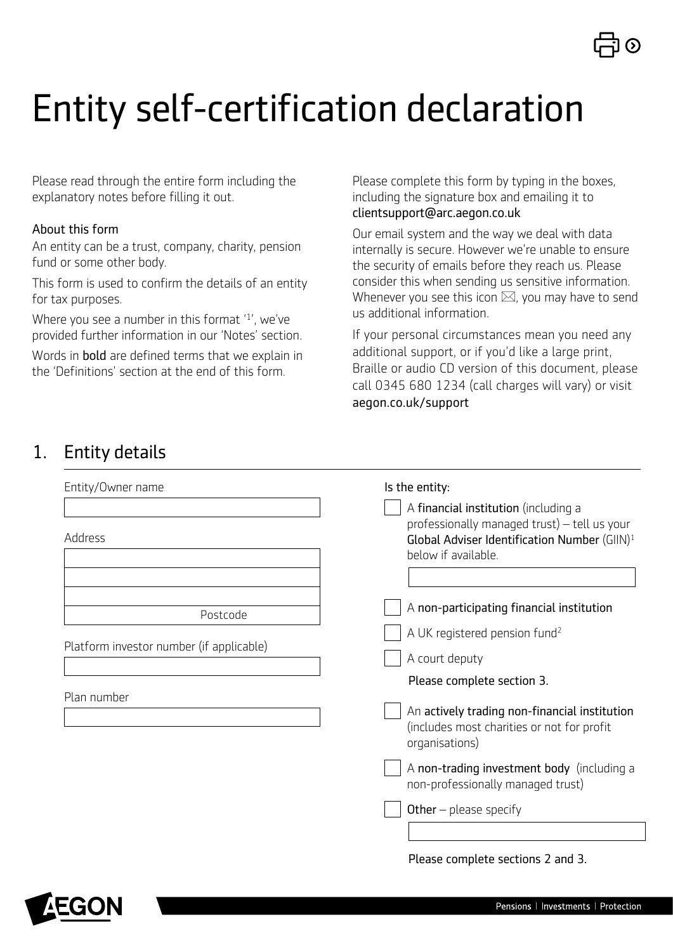

# Entity self-certification declaration

Please read through the entire form including the explanatory notes before filling it out.

#### About this form

An entity can be a trust, company, charity, pension fund or some other body.

This form is used to confirm the details of an entity for tax purposes.

Where you see a number in this format '1', we've provided further information in our 'Notes' section.

Words in bold are defined terms that we explain in the 'Definitions' section at the end of this form.

Please complete this form by typing in the boxes, including the signature box and emailing it to [clientsupport@arc.aegon.co.uk](mailto:clientsupport%40arc.aegon.co.uk?subject=)

Our email system and the way we deal with data internally is secure. However we're unable to ensure the security of emails before they reach us. Please consider this when sending us sensitive information. Whenever you see this icon  $\boxtimes$ , you may have to send us additional information.

If your personal circumstances mean you need any additional support, or if you'd like a large print, Braille or audio CD version of this document, please call 0345 680 1234 (call charges will vary) or visit [aegon.co.uk/support](http://aegon.co.uk/support)

## 1. Entity details

| Entity/Owner name                        | Is the entity:<br>A financial institution (including a                                                                          |
|------------------------------------------|---------------------------------------------------------------------------------------------------------------------------------|
| Address                                  | professionally managed trust) - tell us your<br>Global Adviser Identification Number (GIIN) <sup>1</sup><br>below if available. |
| Postcode                                 | A non-participating financial institution<br>A UK registered pension fund <sup>2</sup>                                          |
| Platform investor number (if applicable) | A court deputy                                                                                                                  |
| Plan number                              | Please complete section 3.                                                                                                      |
|                                          | An actively trading non-financial institution<br>(includes most charities or not for profit<br>organisations)                   |
|                                          | A non-trading investment body (including a<br>non-professionally managed trust)                                                 |
|                                          | Other $-$ please specify                                                                                                        |

Please complete sections 2 and 3.

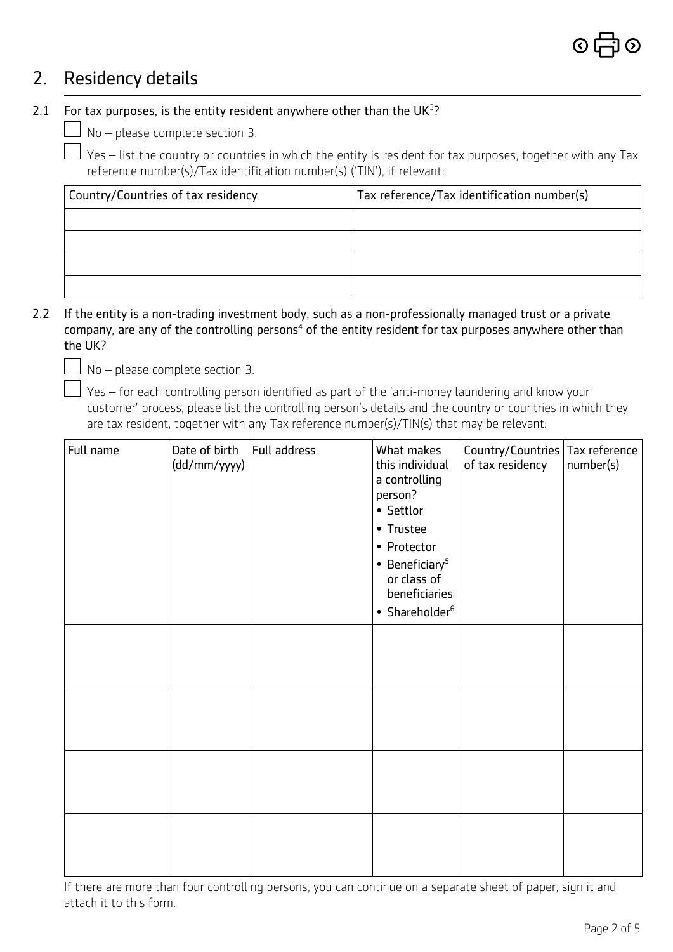## 2. Residency details

## 2.1 For tax purposes, is the entity resident anywhere other than the  $UK<sup>3</sup>$ ?

 $\Box$  No – please complete section 3.

 Yes – list the country or countries in which the entity is resident for tax purposes, together with any Tax reference number(s)/Tax identification number(s) ('TIN'), if relevant:

| Country/Countries of tax residency | Tax reference/Tax identification number(s) |  |  |  |
|------------------------------------|--------------------------------------------|--|--|--|
|                                    |                                            |  |  |  |
|                                    |                                            |  |  |  |
|                                    |                                            |  |  |  |
|                                    |                                            |  |  |  |

2.2 If the entity is a non-trading investment body, such as a non-professionally managed trust or a private company, are any of the controlling persons<sup>4</sup> of the entity resident for tax purposes anywhere other than the UK?

 $\Box$  No – please complete section 3.

 $\Box$  Yes – for each controlling person identified as part of the 'anti-money laundering and know your customer' process, please list the controlling person's details and the country or countries in which they are tax resident, together with any Tax reference number(s)/TIN(s) that may be relevant:

| Full name | Date of birth<br>(dd/mm/yyyy) | Full address | What makes<br>this individual<br>a controlling<br>person?<br>• Settlor<br>• Trustee<br>• Protector<br>$\bullet$ Beneficiary <sup>5</sup><br>or class of<br>beneficiaries<br>• Shareholder <sup>6</sup> | Country/Countries Tax reference<br>of tax residency | number(s) |
|-----------|-------------------------------|--------------|--------------------------------------------------------------------------------------------------------------------------------------------------------------------------------------------------------|-----------------------------------------------------|-----------|
|           |                               |              |                                                                                                                                                                                                        |                                                     |           |
|           |                               |              |                                                                                                                                                                                                        |                                                     |           |
|           |                               |              |                                                                                                                                                                                                        |                                                     |           |
|           |                               |              |                                                                                                                                                                                                        |                                                     |           |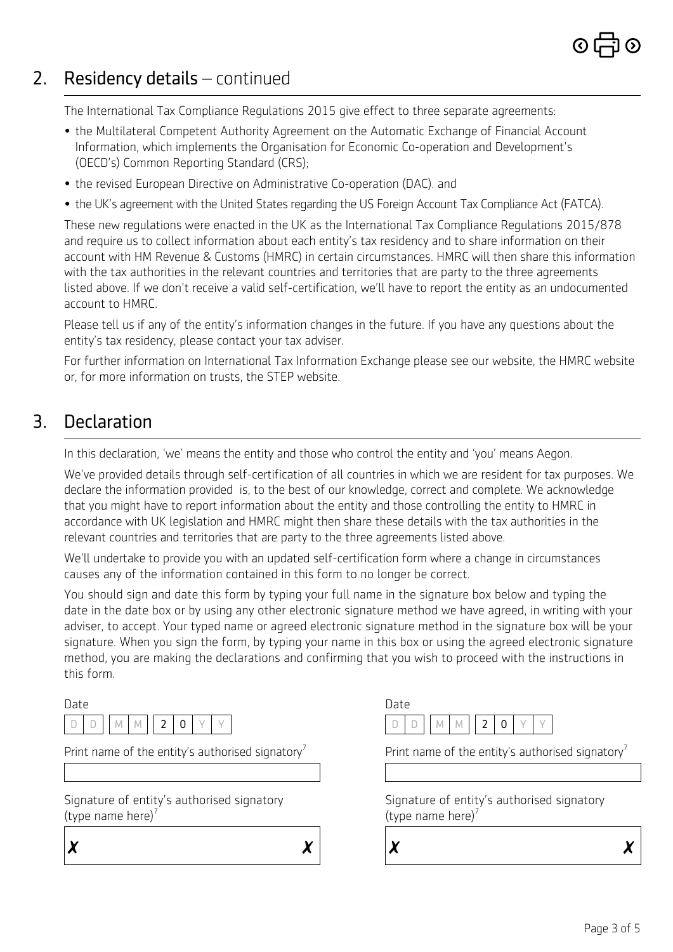# 2. Residency details – continued

The International Tax Compliance Regulations 2015 give effect to three separate agreements:

- the Multilateral Competent Authority Agreement on the Automatic Exchange of Financial Account Information, which implements the Organisation for Economic Co-operation and Development's (OECD's) Common Reporting Standard (CRS);
- the revised European Directive on Administrative Co-operation (DAC). and
- the UK's agreement with the United States regarding the US Foreign Account Tax Compliance Act (FATCA).

These new regulations were enacted in the UK as the International Tax Compliance Regulations 2015/878 and require us to collect information about each entity's tax residency and to share information on their account with HM Revenue & Customs (HMRC) in certain circumstances. HMRC will then share this information with the tax authorities in the relevant countries and territories that are party to the three agreements listed above. If we don't receive a valid self-certification, we'll have to report the entity as an undocumented account to HMRC.

Please tell us if any of the entity's information changes in the future. If you have any questions about the entity's tax residency, please contact your tax adviser.

For further information on International Tax Information Exchange please see our website, the HMRC website or, for more information on trusts, the STEP website.

## 3. Declaration

In this declaration, 'we' means the entity and those who control the entity and 'you' means Aegon.

We've provided details through self-certification of all countries in which we are resident for tax purposes. We declare the information provided is, to the best of our knowledge, correct and complete. We acknowledge that you might have to report information about the entity and those controlling the entity to HMRC in accordance with UK legislation and HMRC might then share these details with the tax authorities in the relevant countries and territories that are party to the three agreements listed above.

We'll undertake to provide you with an updated self-certification form where a change in circumstances causes any of the information contained in this form to no longer be correct.

You should sign and date this form by typing your full name in the signature box below and typing the date in the date box or by using any other electronic signature method we have agreed, in writing with your adviser, to accept. Your typed name or agreed electronic signature method in the signature box will be your signature. When you sign the form, by typing your name in this box or using the agreed electronic signature method, you are making the declarations and confirming that you wish to proceed with the instructions in this form.

Date

|  |  |  | $\vert \vert$ $\vert$ |  |  |
|--|--|--|-----------------------|--|--|

Print name of the entity's authorised signatory<sup>7</sup>

Signature of entity's authorised signatory (type name here) $'$ 

 $\boldsymbol{x}$   $\boldsymbol{x}$ 



Print name of the entity's authorised signatory<sup>1</sup>

Signature of entity's authorised signatory (type name here) $'$ 

 $\boldsymbol{x}$   $\boldsymbol{x}$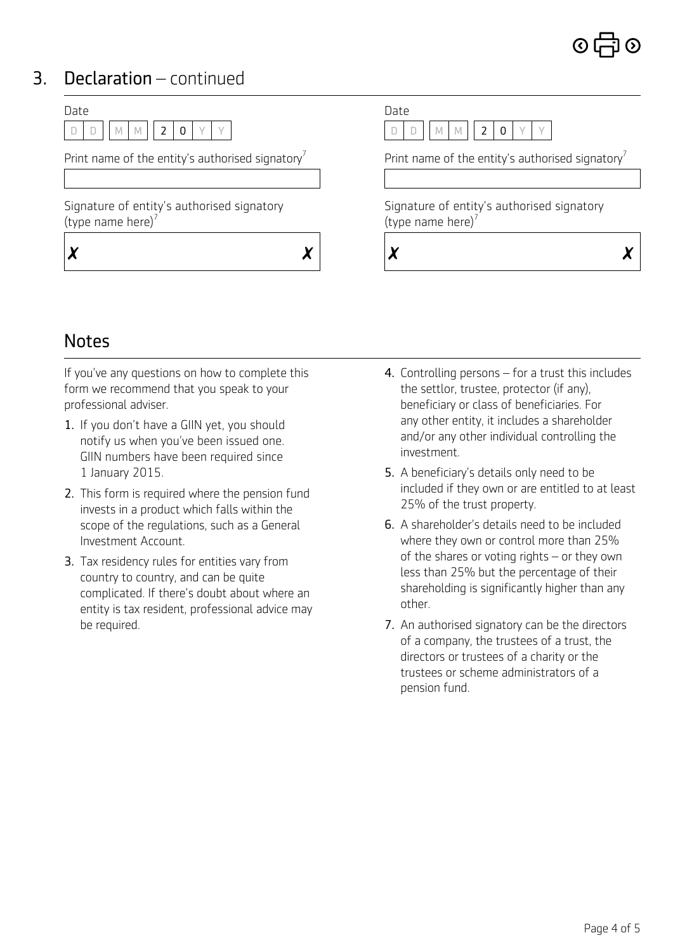# 3. Declaration – continued



## **Notes**

If you've any questions on how to complete this form we recommend that you speak to your professional adviser.

- 1. If you don't have a GIIN yet, you should notify us when you've been issued one. GIIN numbers have been required since 1 January 2015.
- 2. This form is required where the pension fund invests in a product which falls within the scope of the regulations, such as a General Investment Account.
- 3. Tax residency rules for entities vary from country to country, and can be quite complicated. If there's doubt about where an entity is tax resident, professional advice may be required.
- 4. Controlling persons for a trust this includes the settlor, trustee, protector (if any), beneficiary or class of beneficiaries. For any other entity, it includes a shareholder and/or any other individual controlling the investment.
- 5. A beneficiary's details only need to be included if they own or are entitled to at least 25% of the trust property.
- 6. A shareholder's details need to be included where they own or control more than 25% of the shares or voting rights – or they own less than 25% but the percentage of their shareholding is significantly higher than any other.
- 7. An authorised signatory can be the directors of a company, the trustees of a trust, the directors or trustees of a charity or the trustees or scheme administrators of a pension fund.